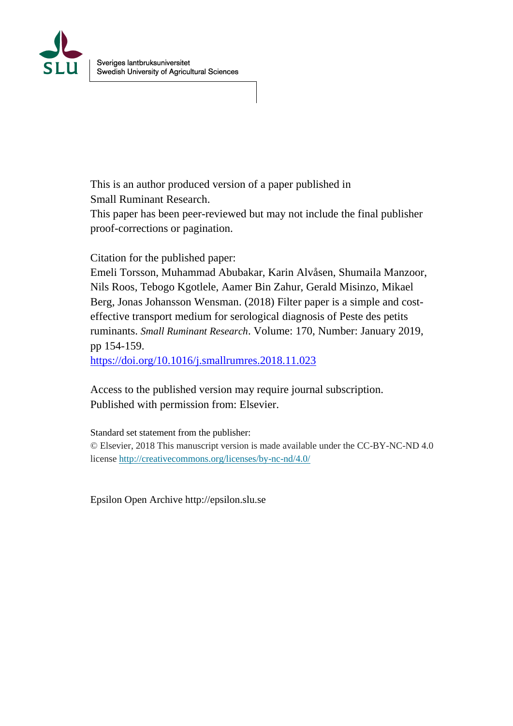

This is an author produced version of a paper published in Small Ruminant Research.

This paper has been peer-reviewed but may not include the final publisher proof-corrections or pagination.

Citation for the published paper:

Emeli Torsson, Muhammad Abubakar, Karin Alvåsen, Shumaila Manzoor, Nils Roos, Tebogo Kgotlele, Aamer Bin Zahur, Gerald Misinzo, Mikael Berg, Jonas Johansson Wensman. (2018) Filter paper is a simple and costeffective transport medium for serological diagnosis of Peste des petits ruminants. *Small Ruminant Research*. Volume: 170, Number: January 2019, pp 154-159.

<https://doi.org/10.1016/j.smallrumres.2018.11.023>

Access to the published version may require journal subscription. Published with permission from: Elsevier.

Standard set statement from the publisher:

© Elsevier, 2018 This manuscript version is made available under the CC-BY-NC-ND 4.0 license<http://creativecommons.org/licenses/by-nc-nd/4.0/>

Epsilon Open Archive http://epsilon.slu.se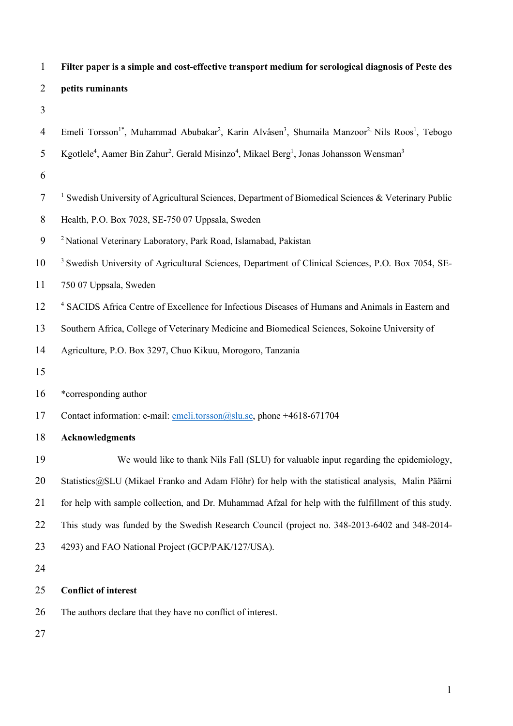| $\mathbf{1}$   | Filter paper is a simple and cost-effective transport medium for serological diagnosis of Peste des                                                        |
|----------------|------------------------------------------------------------------------------------------------------------------------------------------------------------|
| $\overline{2}$ | petits ruminants                                                                                                                                           |
| 3              |                                                                                                                                                            |
| $\overline{4}$ | Emeli Torsson <sup>1*</sup> , Muhammad Abubakar <sup>2</sup> , Karin Alvåsen <sup>3</sup> , Shumaila Manzoor <sup>2,</sup> Nils Roos <sup>1</sup> , Tebogo |
| 5              | Kgotlele <sup>4</sup> , Aamer Bin Zahur <sup>2</sup> , Gerald Misinzo <sup>4</sup> , Mikael Berg <sup>1</sup> , Jonas Johansson Wensman <sup>3</sup>       |
| 6              |                                                                                                                                                            |
| $\tau$         | <sup>1</sup> Swedish University of Agricultural Sciences, Department of Biomedical Sciences & Veterinary Public                                            |
| $8\,$          | Health, P.O. Box 7028, SE-750 07 Uppsala, Sweden                                                                                                           |
| 9              | <sup>2</sup> National Veterinary Laboratory, Park Road, Islamabad, Pakistan                                                                                |
| 10             | <sup>3</sup> Swedish University of Agricultural Sciences, Department of Clinical Sciences, P.O. Box 7054, SE-                                              |
| 11             | 750 07 Uppsala, Sweden                                                                                                                                     |
| 12             | <sup>4</sup> SACIDS Africa Centre of Excellence for Infectious Diseases of Humans and Animals in Eastern and                                               |
| 13             | Southern Africa, College of Veterinary Medicine and Biomedical Sciences, Sokoine University of                                                             |
| 14             | Agriculture, P.O. Box 3297, Chuo Kikuu, Morogoro, Tanzania                                                                                                 |
| 15             |                                                                                                                                                            |
| 16             | *corresponding author                                                                                                                                      |
| 17             | Contact information: e-mail: emeli.torsson@slu.se, phone +4618-671704                                                                                      |
| 18             | <b>Acknowledgments</b>                                                                                                                                     |
| 19             | We would like to thank Nils Fall (SLU) for valuable input regarding the epidemiology,                                                                      |
| 20             | Statistics@SLU (Mikael Franko and Adam Flöhr) for help with the statistical analysis, Malin Päärni                                                         |
| 21             | for help with sample collection, and Dr. Muhammad Afzal for help with the fulfillment of this study.                                                       |
| 22             | This study was funded by the Swedish Research Council (project no. 348-2013-6402 and 348-2014-                                                             |
| 23             | 4293) and FAO National Project (GCP/PAK/127/USA).                                                                                                          |
| 24             |                                                                                                                                                            |
| 25             | <b>Conflict of interest</b>                                                                                                                                |
| 26             | The authors declare that they have no conflict of interest.                                                                                                |

27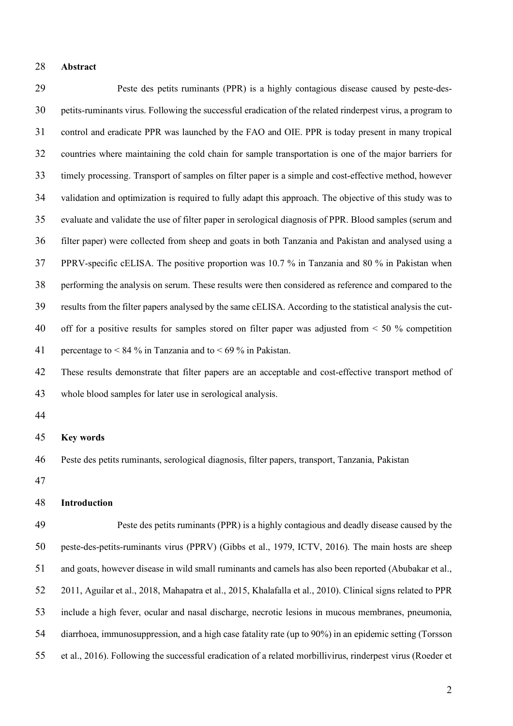#### **Abstract**

 Peste des petits ruminants (PPR) is a highly contagious disease caused by peste-des- petits-ruminants virus. Following the successful eradication of the related rinderpest virus, a program to control and eradicate PPR was launched by the FAO and OIE. PPR is today present in many tropical countries where maintaining the cold chain for sample transportation is one of the major barriers for timely processing. Transport of samples on filter paper is a simple and cost-effective method, however validation and optimization is required to fully adapt this approach. The objective of this study was to evaluate and validate the use of filter paper in serological diagnosis of PPR. Blood samples (serum and filter paper) were collected from sheep and goats in both Tanzania and Pakistan and analysed using a PPRV-specific cELISA. The positive proportion was 10.7 % in Tanzania and 80 % in Pakistan when performing the analysis on serum. These results were then considered as reference and compared to the results from the filter papers analysed by the same cELISA. According to the statistical analysis the cut-40 off for a positive results for samples stored on filter paper was adjusted from  $\leq 50\%$  competition 41 percentage to  $\leq 84\%$  in Tanzania and to  $\leq 69\%$  in Pakistan.

 These results demonstrate that filter papers are an acceptable and cost-effective transport method of whole blood samples for later use in serological analysis.

### **Key words**

Peste des petits ruminants, serological diagnosis, filter papers, transport, Tanzania, Pakistan

#### **Introduction**

 Peste des petits ruminants (PPR) is a highly contagious and deadly disease caused by the peste-des-petits-ruminants virus (PPRV) (Gibbs et al., 1979, ICTV, 2016). The main hosts are sheep and goats, however disease in wild small ruminants and camels has also been reported (Abubakar et al., 2011, Aguilar et al., 2018, Mahapatra et al., 2015, Khalafalla et al., 2010). Clinical signs related to PPR include a high fever, ocular and nasal discharge, necrotic lesions in mucous membranes, pneumonia, diarrhoea, immunosuppression, and a high case fatality rate (up to 90%) in an epidemic setting (Torsson et al., 2016). Following the successful eradication of a related morbillivirus, rinderpest virus (Roeder et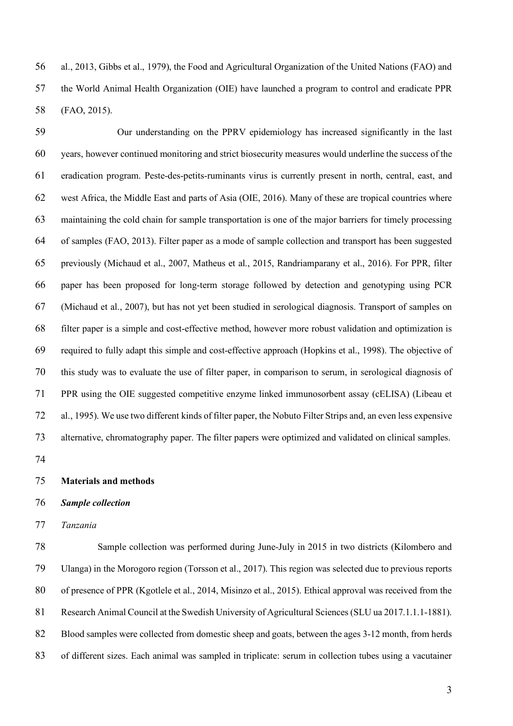al., 2013, Gibbs et al., 1979), the Food and Agricultural Organization of the United Nations (FAO) and the World Animal Health Organization (OIE) have launched a program to control and eradicate PPR (FAO, 2015).

 Our understanding on the PPRV epidemiology has increased significantly in the last years, however continued monitoring and strict biosecurity measures would underline the success of the eradication program. Peste-des-petits-ruminants virus is currently present in north, central, east, and west Africa, the Middle East and parts of Asia (OIE, 2016). Many of these are tropical countries where maintaining the cold chain for sample transportation is one of the major barriers for timely processing of samples (FAO, 2013). Filter paper as a mode of sample collection and transport has been suggested previously (Michaud et al., 2007, Matheus et al., 2015, Randriamparany et al., 2016). For PPR, filter paper has been proposed for long-term storage followed by detection and genotyping using PCR (Michaud et al., 2007), but has not yet been studied in serological diagnosis. Transport of samples on filter paper is a simple and cost-effective method, however more robust validation and optimization is required to fully adapt this simple and cost-effective approach (Hopkins et al., 1998). The objective of this study was to evaluate the use of filter paper, in comparison to serum, in serological diagnosis of PPR using the OIE suggested competitive enzyme linked immunosorbent assay (cELISA) (Libeau et al., 1995). We use two different kinds of filter paper, the Nobuto Filter Strips and, an even less expensive alternative, chromatography paper. The filter papers were optimized and validated on clinical samples.

**Materials and methods**

#### *Sample collection*

### *Tanzania*

 Sample collection was performed during June-July in 2015 in two districts (Kilombero and Ulanga) in the Morogoro region (Torsson et al., 2017). This region was selected due to previous reports of presence of PPR (Kgotlele et al., 2014, Misinzo et al., 2015). Ethical approval was received from the Research Animal Council at the Swedish University of Agricultural Sciences (SLU ua 2017.1.1.1-1881). Blood samples were collected from domestic sheep and goats, between the ages 3-12 month, from herds of different sizes. Each animal was sampled in triplicate: serum in collection tubes using a vacutainer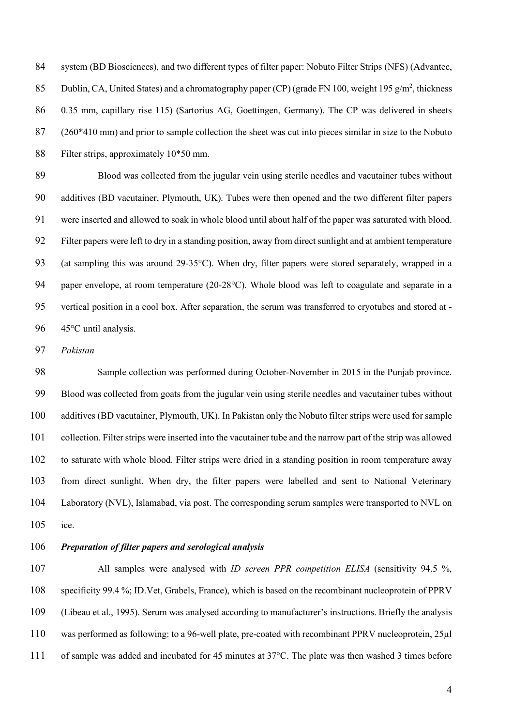84 system (BD Biosciences), and two different types of filter paper: Nobuto Filter Strips (NFS) (Advantec, 85 Dublin, CA, United States) and a chromatography paper (CP) (grade FN 100, weight 195 g/m<sup>2</sup>, thickness 0.35 mm, capillary rise 115) (Sartorius AG, Goettingen, Germany). The CP was delivered in sheets (260\*410 mm) and prior to sample collection the sheet was cut into pieces similar in size to the Nobuto Filter strips, approximately 10\*50 mm.

 Blood was collected from the jugular vein using sterile needles and vacutainer tubes without additives (BD vacutainer, Plymouth, UK). Tubes were then opened and the two different filter papers were inserted and allowed to soak in whole blood until about half of the paper was saturated with blood. Filter papers were left to dry in a standing position, away from direct sunlight and at ambient temperature (at sampling this was around 29-35°C). When dry, filter papers were stored separately, wrapped in a paper envelope, at room temperature (20-28°C). Whole blood was left to coagulate and separate in a vertical position in a cool box. After separation, the serum was transferred to cryotubes and stored at - 45°C until analysis.

*Pakistan* 

 Sample collection was performed during October-November in 2015 in the Punjab province. Blood was collected from goats from the jugular vein using sterile needles and vacutainer tubes without additives (BD vacutainer, Plymouth, UK). In Pakistan only the Nobuto filter strips were used for sample collection. Filter strips were inserted into the vacutainer tube and the narrow part of the strip was allowed to saturate with whole blood. Filter strips were dried in a standing position in room temperature away from direct sunlight. When dry, the filter papers were labelled and sent to National Veterinary Laboratory (NVL), Islamabad, via post. The corresponding serum samples were transported to NVL on ice.

# *Preparation of filter papers and serological analysis*

 All samples were analysed with *ID screen PPR competition ELISA* (sensitivity 94.5 %, specificity 99.4 %; ID.Vet, Grabels, France), which is based on the recombinant nucleoprotein of PPRV (Libeau et al., 1995). Serum was analysed according to manufacturer's instructions. Briefly the analysis was performed as following: to a 96-well plate, pre-coated with recombinant PPRV nucleoprotein, 25µl of sample was added and incubated for 45 minutes at 37°C. The plate was then washed 3 times before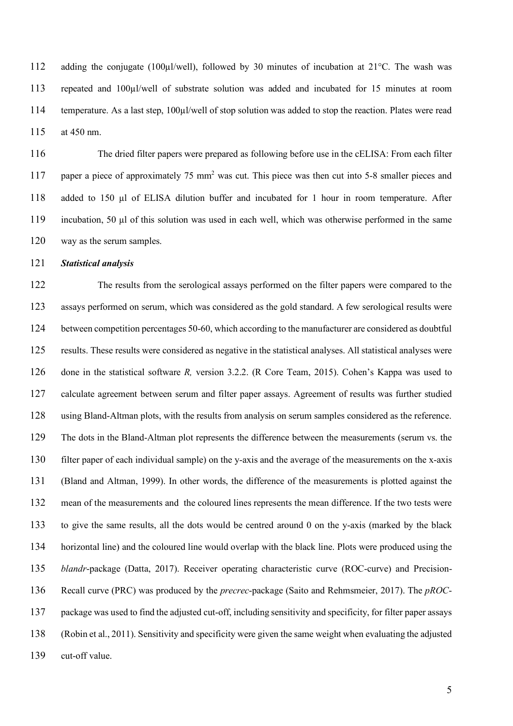112 adding the conjugate (100µl/well), followed by 30 minutes of incubation at 21°C. The wash was repeated and 100µl/well of substrate solution was added and incubated for 15 minutes at room temperature. As a last step, 100µl/well of stop solution was added to stop the reaction. Plates were read at 450 nm.

 The dried filter papers were prepared as following before use in the cELISA: From each filter 117 paper a piece of approximately 75 mm<sup>2</sup> was cut. This piece was then cut into 5-8 smaller pieces and added to 150 µl of ELISA dilution buffer and incubated for 1 hour in room temperature. After incubation, 50 µl of this solution was used in each well, which was otherwise performed in the same way as the serum samples.

*Statistical analysis*

 The results from the serological assays performed on the filter papers were compared to the assays performed on serum, which was considered as the gold standard. A few serological results were between competition percentages 50-60, which according to the manufacturer are considered as doubtful results. These results were considered as negative in the statistical analyses. All statistical analyses were done in the statistical software *R,* version 3.2.2. (R Core Team, 2015). Cohen's Kappa was used to calculate agreement between serum and filter paper assays. Agreement of results was further studied using Bland-Altman plots, with the results from analysis on serum samples considered as the reference. The dots in the Bland-Altman plot represents the difference between the measurements (serum vs. the filter paper of each individual sample) on the y-axis and the average of the measurements on the x-axis (Bland and Altman, 1999). In other words, the difference of the measurements is plotted against the mean of the measurements and the coloured lines represents the mean difference. If the two tests were to give the same results, all the dots would be centred around 0 on the y-axis (marked by the black horizontal line) and the coloured line would overlap with the black line. Plots were produced using the *blandr*-package (Datta, 2017). Receiver operating characteristic curve (ROC-curve) and Precision- Recall curve (PRC) was produced by the *precrec*-package (Saito and Rehmsmeier, 2017). The *pROC*- package was used to find the adjusted cut-off, including sensitivity and specificity, for filter paper assays (Robin et al., 2011). Sensitivity and specificity were given the same weight when evaluating the adjusted cut-off value.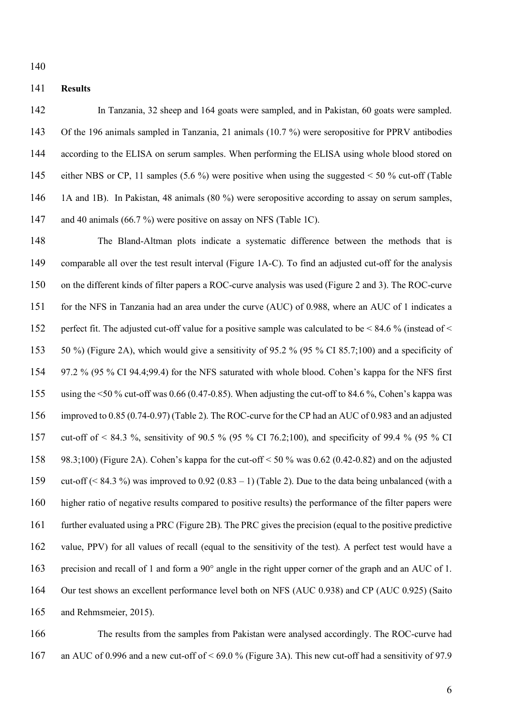#### **Results**

 In Tanzania, 32 sheep and 164 goats were sampled, and in Pakistan, 60 goats were sampled. Of the 196 animals sampled in Tanzania, 21 animals (10.7 %) were seropositive for PPRV antibodies 144 according to the ELISA on serum samples. When performing the ELISA using whole blood stored on either NBS or CP, 11 samples (5.6 %) were positive when using the suggested < 50 % cut-off (Table 1A and 1B). In Pakistan, 48 animals (80 %) were seropositive according to assay on serum samples, 147 and 40 animals (66.7 %) were positive on assay on NFS (Table 1C).

 The Bland-Altman plots indicate a systematic difference between the methods that is comparable all over the test result interval (Figure 1A-C). To find an adjusted cut-off for the analysis on the different kinds of filter papers a ROC-curve analysis was used (Figure 2 and 3). The ROC-curve for the NFS in Tanzania had an area under the curve (AUC) of 0.988, where an AUC of 1 indicates a perfect fit. The adjusted cut-off value for a positive sample was calculated to be < 84.6 % (instead of < 50 %) (Figure 2A), which would give a sensitivity of 95.2 % (95 % CI 85.7;100) and a specificity of 97.2 % (95 % CI 94.4;99.4) for the NFS saturated with whole blood. Cohen's kappa for the NFS first using the <50 % cut-off was 0.66 (0.47-0.85). When adjusting the cut-off to 84.6 %, Cohen's kappa was improved to 0.85 (0.74-0.97) (Table 2). The ROC-curve for the CP had an AUC of 0.983 and an adjusted cut-off of < 84.3 %, sensitivity of 90.5 % (95 % CI 76.2;100), and specificity of 99.4 % (95 % CI 98.3;100) (Figure 2A). Cohen's kappa for the cut-off < 50 % was 0.62 (0.42-0.82) and on the adjusted cut-off (< 84.3 %) was improved to 0.92 (0.83 – 1) (Table 2). Due to the data being unbalanced (with a higher ratio of negative results compared to positive results) the performance of the filter papers were further evaluated using a PRC (Figure 2B). The PRC gives the precision (equal to the positive predictive value, PPV) for all values of recall (equal to the sensitivity of the test). A perfect test would have a precision and recall of 1 and form a 90° angle in the right upper corner of the graph and an AUC of 1. Our test shows an excellent performance level both on NFS (AUC 0.938) and CP (AUC 0.925) (Saito and Rehmsmeier, 2015).

 The results from the samples from Pakistan were analysed accordingly. The ROC-curve had an AUC of 0.996 and a new cut-off of < 69.0 % (Figure 3A). This new cut-off had a sensitivity of 97.9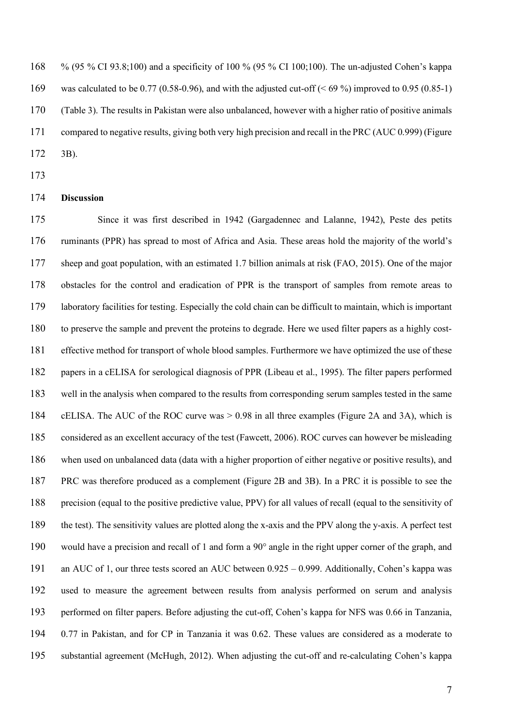% (95 % CI 93.8;100) and a specificity of 100 % (95 % CI 100;100). The un-adjusted Cohen's kappa 169 was calculated to be 0.77 (0.58-0.96), and with the adjusted cut-off ( $\leq 69\%$ ) improved to 0.95 (0.85-1) (Table 3). The results in Pakistan were also unbalanced, however with a higher ratio of positive animals compared to negative results, giving both very high precision and recall in the PRC (AUC 0.999) (Figure 3B).

## **Discussion**

 Since it was first described in 1942 (Gargadennec and Lalanne, 1942), Peste des petits ruminants (PPR) has spread to most of Africa and Asia. These areas hold the majority of the world's sheep and goat population, with an estimated 1.7 billion animals at risk (FAO, 2015). One of the major obstacles for the control and eradication of PPR is the transport of samples from remote areas to laboratory facilities for testing. Especially the cold chain can be difficult to maintain, which is important to preserve the sample and prevent the proteins to degrade. Here we used filter papers as a highly cost- effective method for transport of whole blood samples. Furthermore we have optimized the use of these papers in a cELISA for serological diagnosis of PPR (Libeau et al., 1995). The filter papers performed well in the analysis when compared to the results from corresponding serum samples tested in the same cELISA. The AUC of the ROC curve was > 0.98 in all three examples (Figure 2A and 3A), which is considered as an excellent accuracy of the test (Fawcett, 2006). ROC curves can however be misleading when used on unbalanced data (data with a higher proportion of either negative or positive results), and PRC was therefore produced as a complement (Figure 2B and 3B). In a PRC it is possible to see the precision (equal to the positive predictive value, PPV) for all values of recall (equal to the sensitivity of the test). The sensitivity values are plotted along the x-axis and the PPV along the y-axis. A perfect test would have a precision and recall of 1 and form a 90° angle in the right upper corner of the graph, and an AUC of 1, our three tests scored an AUC between 0.925 – 0.999. Additionally, Cohen's kappa was used to measure the agreement between results from analysis performed on serum and analysis performed on filter papers. Before adjusting the cut-off, Cohen's kappa for NFS was 0.66 in Tanzania, 0.77 in Pakistan, and for CP in Tanzania it was 0.62. These values are considered as a moderate to substantial agreement (McHugh, 2012). When adjusting the cut-off and re-calculating Cohen's kappa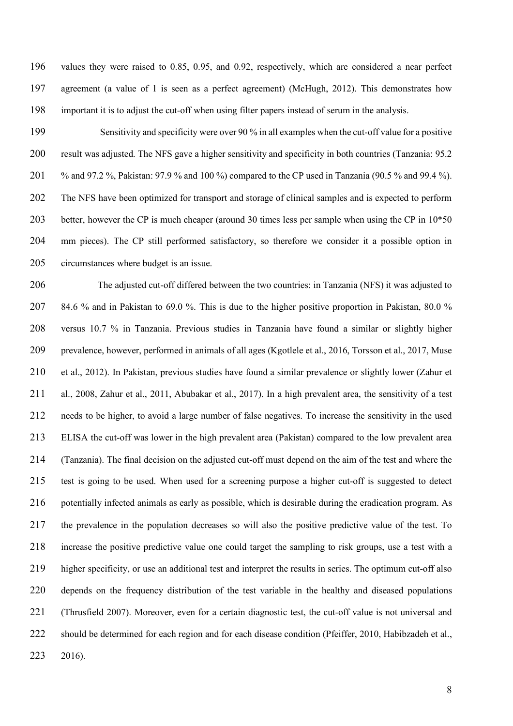values they were raised to 0.85, 0.95, and 0.92, respectively, which are considered a near perfect agreement (a value of 1 is seen as a perfect agreement) (McHugh, 2012). This demonstrates how important it is to adjust the cut-off when using filter papers instead of serum in the analysis.

 Sensitivity and specificity were over 90 % in all examples when the cut-off value for a positive result was adjusted. The NFS gave a higher sensitivity and specificity in both countries (Tanzania: 95.2 % and 97.2 %, Pakistan: 97.9 % and 100 %) compared to the CP used in Tanzania (90.5 % and 99.4 %). The NFS have been optimized for transport and storage of clinical samples and is expected to perform better, however the CP is much cheaper (around 30 times less per sample when using the CP in 10\*50 mm pieces). The CP still performed satisfactory, so therefore we consider it a possible option in circumstances where budget is an issue.

 The adjusted cut-off differed between the two countries: in Tanzania (NFS) it was adjusted to 84.6 % and in Pakistan to 69.0 %. This is due to the higher positive proportion in Pakistan, 80.0 % versus 10.7 % in Tanzania. Previous studies in Tanzania have found a similar or slightly higher prevalence, however, performed in animals of all ages (Kgotlele et al., 2016, Torsson et al., 2017, Muse et al., 2012). In Pakistan, previous studies have found a similar prevalence or slightly lower (Zahur et al., 2008, Zahur et al., 2011, Abubakar et al., 2017). In a high prevalent area, the sensitivity of a test needs to be higher, to avoid a large number of false negatives. To increase the sensitivity in the used ELISA the cut-off was lower in the high prevalent area (Pakistan) compared to the low prevalent area (Tanzania). The final decision on the adjusted cut-off must depend on the aim of the test and where the test is going to be used. When used for a screening purpose a higher cut-off is suggested to detect potentially infected animals as early as possible, which is desirable during the eradication program. As the prevalence in the population decreases so will also the positive predictive value of the test. To increase the positive predictive value one could target the sampling to risk groups, use a test with a higher specificity, or use an additional test and interpret the results in series. The optimum cut-off also depends on the frequency distribution of the test variable in the healthy and diseased populations (Thrusfield 2007). Moreover, even for a certain diagnostic test, the cut-off value is not universal and should be determined for each region and for each disease condition (Pfeiffer, 2010, Habibzadeh et al., 2016).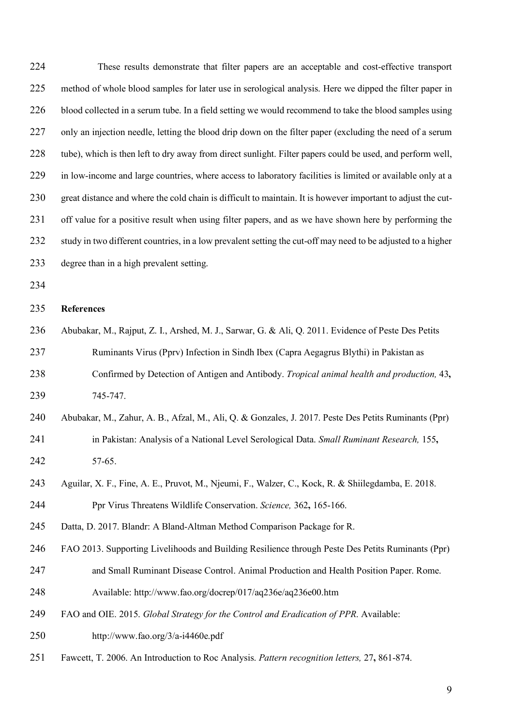These results demonstrate that filter papers are an acceptable and cost-effective transport method of whole blood samples for later use in serological analysis. Here we dipped the filter paper in blood collected in a serum tube. In a field setting we would recommend to take the blood samples using only an injection needle, letting the blood drip down on the filter paper (excluding the need of a serum tube), which is then left to dry away from direct sunlight. Filter papers could be used, and perform well, in low-income and large countries, where access to laboratory facilities is limited or available only at a great distance and where the cold chain is difficult to maintain. It is however important to adjust the cut- off value for a positive result when using filter papers, and as we have shown here by performing the 232 study in two different countries, in a low prevalent setting the cut-off may need to be adjusted to a higher degree than in a high prevalent setting. **References** Abubakar, M., Rajput, Z. I., Arshed, M. J., Sarwar, G. & Ali, Q. 2011. Evidence of Peste Des Petits Ruminants Virus (Pprv) Infection in Sindh Ibex (Capra Aegagrus Blythi) in Pakistan as Confirmed by Detection of Antigen and Antibody. *Tropical animal health and production,* 43**,** 745-747. Abubakar, M., Zahur, A. B., Afzal, M., Ali, Q. & Gonzales, J. 2017. Peste Des Petits Ruminants (Ppr) in Pakistan: Analysis of a National Level Serological Data. *Small Ruminant Research,* 155**,** 57-65. Aguilar, X. F., Fine, A. E., Pruvot, M., Njeumi, F., Walzer, C., Kock, R. & Shiilegdamba, E. 2018. Ppr Virus Threatens Wildlife Conservation. *Science,* 362**,** 165-166. Datta, D. 2017. Blandr: A Bland-Altman Method Comparison Package for R. FAO 2013. Supporting Livelihoods and Building Resilience through Peste Des Petits Ruminants (Ppr) and Small Ruminant Disease Control. Animal Production and Health Position Paper. Rome. Available: http://www.fao.org/docrep/017/aq236e/aq236e00.htm FAO and OIE. 2015. *Global Strategy for the Control and Eradication of PPR*. Available: http://www.fao.org/3/a-i4460e.pdf Fawcett, T. 2006. An Introduction to Roc Analysis. *Pattern recognition letters,* 27**,** 861-874.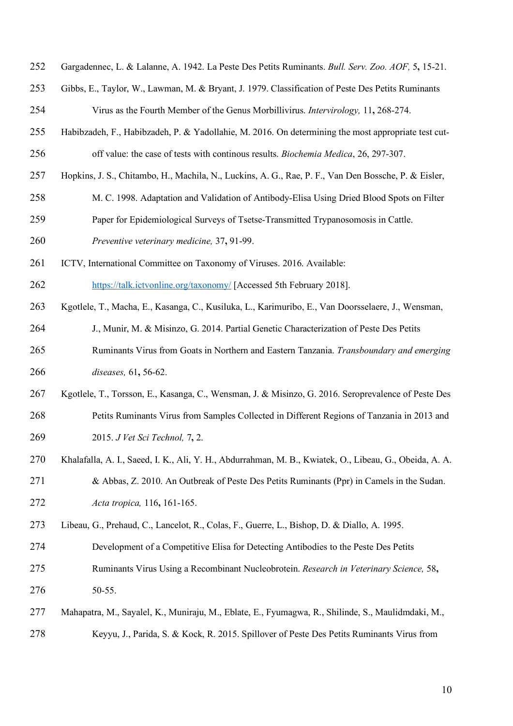- Gargadennec, L. & Lalanne, A. 1942. La Peste Des Petits Ruminants. *Bull. Serv. Zoo. AOF,* 5**,** 15-21.
- Gibbs, E., Taylor, W., Lawman, M. & Bryant, J. 1979. Classification of Peste Des Petits Ruminants Virus as the Fourth Member of the Genus Morbillivirus. *Intervirology,* 11**,** 268-274.
- Habibzadeh, F., Habibzadeh, P. & Yadollahie, M. 2016. On determining the most appropriate test cut-off value: the case of tests with continous results. *Biochemia Medica*, 26, 297-307.
- Hopkins, J. S., Chitambo, H., Machila, N., Luckins, A. G., Rae, P. F., Van Den Bossche, P. & Eisler,
- M. C. 1998. Adaptation and Validation of Antibody-Elisa Using Dried Blood Spots on Filter
- Paper for Epidemiological Surveys of Tsetse-Transmitted Trypanosomosis in Cattle.
- *Preventive veterinary medicine,* 37**,** 91-99.
- ICTV, International Committee on Taxonomy of Viruses. 2016. Available:

https://talk.ictvonline.org/taxonomy/ [Accessed 5th February 2018].

- Kgotlele, T., Macha, E., Kasanga, C., Kusiluka, L., Karimuribo, E., Van Doorsselaere, J., Wensman,
- J., Munir, M. & Misinzo, G. 2014. Partial Genetic Characterization of Peste Des Petits
- Ruminants Virus from Goats in Northern and Eastern Tanzania. *Transboundary and emerging diseases,* 61**,** 56-62.
- Kgotlele, T., Torsson, E., Kasanga, C., Wensman, J. & Misinzo, G. 2016. Seroprevalence of Peste Des Petits Ruminants Virus from Samples Collected in Different Regions of Tanzania in 2013 and 2015. *J Vet Sci Technol,* 7**,** 2.
- Khalafalla, A. I., Saeed, I. K., Ali, Y. H., Abdurrahman, M. B., Kwiatek, O., Libeau, G., Obeida, A. A. & Abbas, Z. 2010. An Outbreak of Peste Des Petits Ruminants (Ppr) in Camels in the Sudan. *Acta tropica,* 116**,** 161-165.
- Libeau, G., Prehaud, C., Lancelot, R., Colas, F., Guerre, L., Bishop, D. & Diallo, A. 1995.
- Development of a Competitive Elisa for Detecting Antibodies to the Peste Des Petits
- Ruminants Virus Using a Recombinant Nucleobrotein. *Research in Veterinary Science,* 58**,**
- 50-55.
- Mahapatra, M., Sayalel, K., Muniraju, M., Eblate, E., Fyumagwa, R., Shilinde, S., Maulidmdaki, M.,
- Keyyu, J., Parida, S. & Kock, R. 2015. Spillover of Peste Des Petits Ruminants Virus from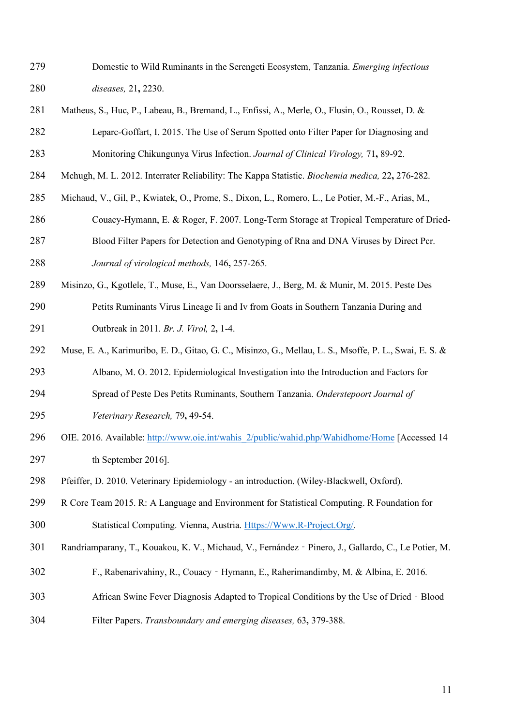- Domestic to Wild Ruminants in the Serengeti Ecosystem, Tanzania. *Emerging infectious diseases,* 21**,** 2230.
- Matheus, S., Huc, P., Labeau, B., Bremand, L., Enfissi, A., Merle, O., Flusin, O., Rousset, D. & Leparc-Goffart, I. 2015. The Use of Serum Spotted onto Filter Paper for Diagnosing and Monitoring Chikungunya Virus Infection. *Journal of Clinical Virology,* 71**,** 89-92.
- Mchugh, M. L. 2012. Interrater Reliability: The Kappa Statistic. *Biochemia medica,* 22**,** 276-282.
- Michaud, V., Gil, P., Kwiatek, O., Prome, S., Dixon, L., Romero, L., Le Potier, M.-F., Arias, M.,
- Couacy-Hymann, E. & Roger, F. 2007. Long-Term Storage at Tropical Temperature of Dried-Blood Filter Papers for Detection and Genotyping of Rna and DNA Viruses by Direct Pcr.
- 

*Journal of virological methods,* 146**,** 257-265.

- Misinzo, G., Kgotlele, T., Muse, E., Van Doorsselaere, J., Berg, M. & Munir, M. 2015. Peste Des Petits Ruminants Virus Lineage Ii and Iv from Goats in Southern Tanzania During and Outbreak in 2011. *Br. J. Virol,* 2**,** 1-4.
- Muse, E. A., Karimuribo, E. D., Gitao, G. C., Misinzo, G., Mellau, L. S., Msoffe, P. L., Swai, E. S. &
- Albano, M. O. 2012. Epidemiological Investigation into the Introduction and Factors for
- Spread of Peste Des Petits Ruminants, Southern Tanzania. *Onderstepoort Journal of*
- *Veterinary Research,* 79**,** 49-54.
- OIE. 2016. Available: http://www.oie.int/wahis\_2/public/wahid.php/Wahidhome/Home [Accessed 14 297 th September 2016].
- Pfeiffer, D. 2010. Veterinary Epidemiology an introduction. (Wiley-Blackwell, Oxford).
- R Core Team 2015. R: A Language and Environment for Statistical Computing. R Foundation for Statistical Computing. Vienna, Austria. Https://Www.R-Project.Org/.
- Randriamparany, T., Kouakou, K. V., Michaud, V., Fernández‐Pinero, J., Gallardo, C., Le Potier, M.
- F., Rabenarivahiny, R., Couacy‐Hymann, E., Raherimandimby, M. & Albina, E. 2016.
- African Swine Fever Diagnosis Adapted to Tropical Conditions by the Use of Dried‐Blood
- Filter Papers. *Transboundary and emerging diseases,* 63**,** 379-388.